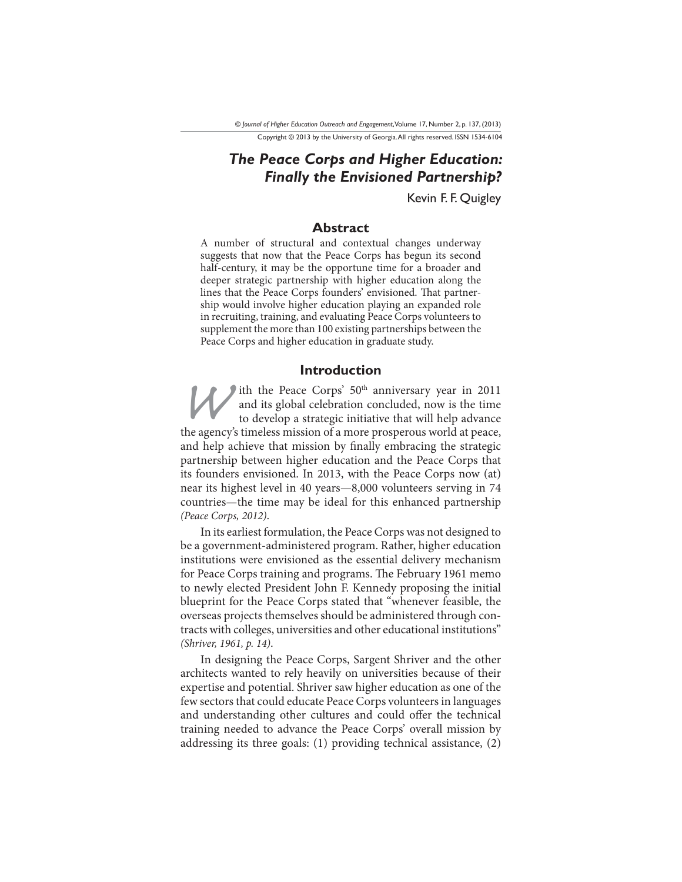*The Peace Corps and Higher Education: Finally the Envisioned Partnership?*

Kevin F. F. Quigley

# **Abstract**

A number of structural and contextual changes underway suggests that now that the Peace Corps has begun its second half-century, it may be the opportune time for a broader and deeper strategic partnership with higher education along the lines that the Peace Corps founders' envisioned. That partnership would involve higher education playing an expanded role in recruiting, training, and evaluating Peace Corps volunteers to supplement the more than 100 existing partnerships between the Peace Corps and higher education in graduate study.

#### **Introduction**

IT TO ULCON THE TOULCON THE TOURISM THE AGE OF THE AGE OF THE AND THE AGE OF THE AGE OF THE AGE OF THE AGE OF THE AGE OF THE AGE OF THE AGE OF THE AGE OF THE AGE OF THE AGE OF THE AGE OF THE AGE OF THE AGE OF THE AGE OF TH and its global celebration concluded, now is the time to develop a strategic initiative that will help advance and help achieve that mission by finally embracing the strategic partnership between higher education and the Peace Corps that its founders envisioned. In 2013, with the Peace Corps now (at) near its highest level in 40 years—8,000 volunteers serving in 74 countries—the time may be ideal for this enhanced partnership (Peace Corps, 2012).

In its earliest formulation, the Peace Corps was not designed to be a government-administered program. Rather, higher education institutions were envisioned as the essential delivery mechanism for Peace Corps training and programs. The February 1961 memo to newly elected President John F. Kennedy proposing the initial blueprint for the Peace Corps stated that "whenever feasible, the overseas projects themselves should be administered through contracts with colleges, universities and other educational institutions" (Shriver, 1961, p. 14).

In designing the Peace Corps, Sargent Shriver and the other architects wanted to rely heavily on universities because of their expertise and potential. Shriver saw higher education as one of the few sectors that could educate Peace Corps volunteers in languages and understanding other cultures and could offer the technical training needed to advance the Peace Corps' overall mission by addressing its three goals: (1) providing technical assistance, (2)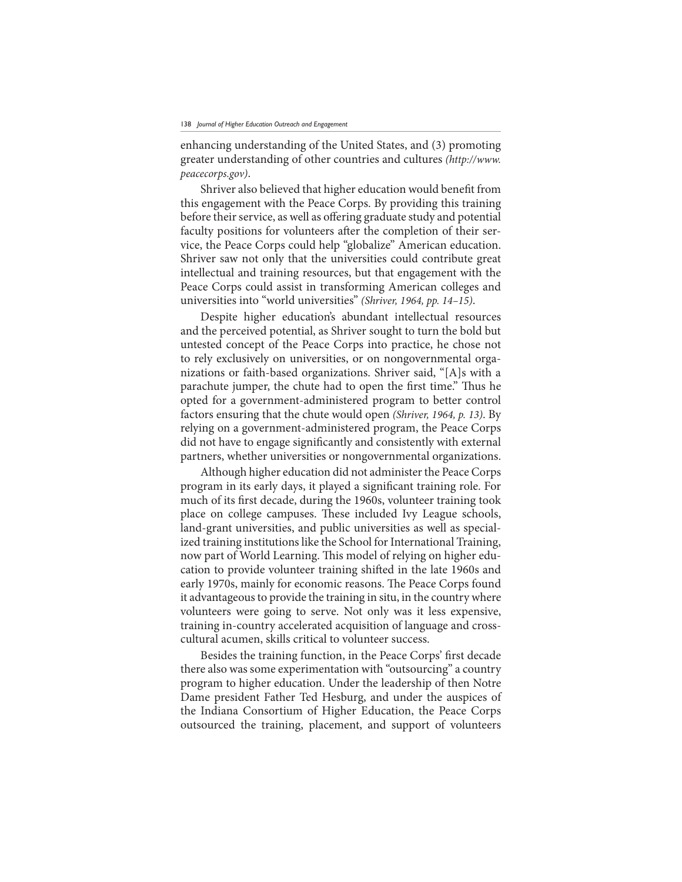enhancing understanding of the United States, and (3) promoting greater understanding of other countries and cultures (http://www. peacecorps.gov).

Shriver also believed that higher education would benefit from this engagement with the Peace Corps. By providing this training before their service, as well as offering graduate study and potential faculty positions for volunteers after the completion of their service, the Peace Corps could help "globalize" American education. Shriver saw not only that the universities could contribute great intellectual and training resources, but that engagement with the Peace Corps could assist in transforming American colleges and universities into "world universities" (Shriver, 1964, pp. 14–15).

Despite higher education's abundant intellectual resources and the perceived potential, as Shriver sought to turn the bold but untested concept of the Peace Corps into practice, he chose not to rely exclusively on universities, or on nongovernmental organizations or faith-based organizations. Shriver said, "[A]s with a parachute jumper, the chute had to open the first time." Thus he opted for a government-administered program to better control factors ensuring that the chute would open (Shriver, 1964, p. 13). By relying on a government-administered program, the Peace Corps did not have to engage significantly and consistently with external partners, whether universities or nongovernmental organizations.

Although higher education did not administer the Peace Corps program in its early days, it played a significant training role. For much of its first decade, during the 1960s, volunteer training took place on college campuses. These included Ivy League schools, land-grant universities, and public universities as well as specialized training institutions like the School for International Training, now part of World Learning. This model of relying on higher education to provide volunteer training shifted in the late 1960s and early 1970s, mainly for economic reasons. The Peace Corps found it advantageous to provide the training in situ, in the country where volunteers were going to serve. Not only was it less expensive, training in-country accelerated acquisition of language and crosscultural acumen, skills critical to volunteer success.

Besides the training function, in the Peace Corps' first decade there also was some experimentation with "outsourcing" a country program to higher education. Under the leadership of then Notre Dame president Father Ted Hesburg, and under the auspices of the Indiana Consortium of Higher Education, the Peace Corps outsourced the training, placement, and support of volunteers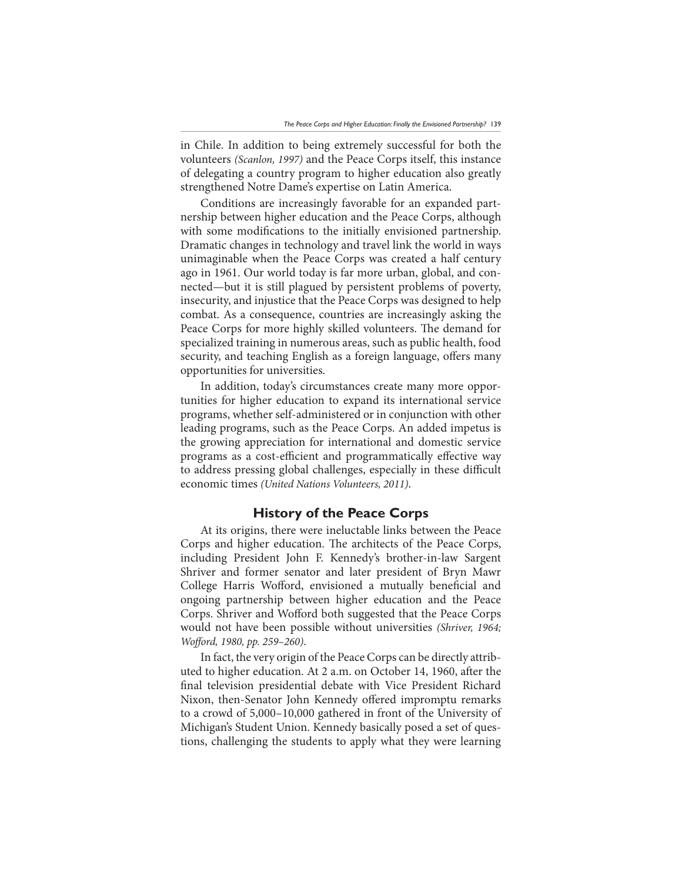in Chile. In addition to being extremely successful for both the volunteers (Scanlon, 1997) and the Peace Corps itself, this instance of delegating a country program to higher education also greatly strengthened Notre Dame's expertise on Latin America.

Conditions are increasingly favorable for an expanded partnership between higher education and the Peace Corps, although with some modifications to the initially envisioned partnership. Dramatic changes in technology and travel link the world in ways unimaginable when the Peace Corps was created a half century ago in 1961. Our world today is far more urban, global, and connected—but it is still plagued by persistent problems of poverty, insecurity, and injustice that the Peace Corps was designed to help combat. As a consequence, countries are increasingly asking the Peace Corps for more highly skilled volunteers. The demand for specialized training in numerous areas, such as public health, food security, and teaching English as a foreign language, offers many opportunities for universities.

In addition, today's circumstances create many more opportunities for higher education to expand its international service programs, whether self-administered or in conjunction with other leading programs, such as the Peace Corps. An added impetus is the growing appreciation for international and domestic service programs as a cost-efficient and programmatically effective way to address pressing global challenges, especially in these difficult economic times (United Nations Volunteers, 2011).

# **History of the Peace Corps**

At its origins, there were ineluctable links between the Peace Corps and higher education. The architects of the Peace Corps, including President John F. Kennedy's brother-in-law Sargent Shriver and former senator and later president of Bryn Mawr College Harris Wofford, envisioned a mutually beneficial and ongoing partnership between higher education and the Peace Corps. Shriver and Wofford both suggested that the Peace Corps would not have been possible without universities (Shriver, 1964; Wofford, 1980, pp. 259–260).

In fact, the very origin of the Peace Corps can be directly attributed to higher education. At 2 a.m. on October 14, 1960, after the final television presidential debate with Vice President Richard Nixon, then-Senator John Kennedy offered impromptu remarks to a crowd of 5,000–10,000 gathered in front of the University of Michigan's Student Union. Kennedy basically posed a set of questions, challenging the students to apply what they were learning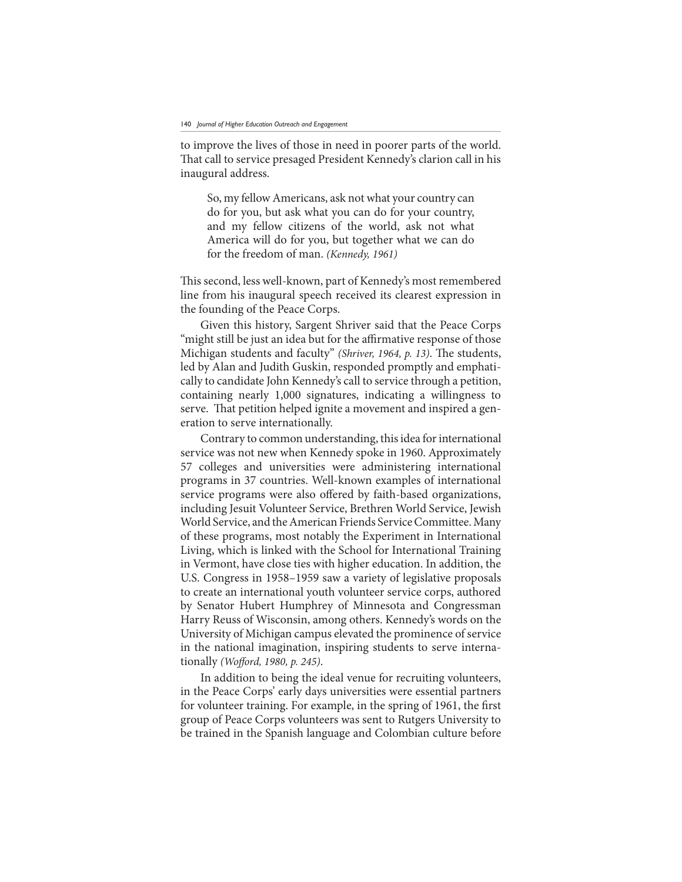to improve the lives of those in need in poorer parts of the world. That call to service presaged President Kennedy's clarion call in his inaugural address.

So, my fellow Americans, ask not what your country can do for you, but ask what you can do for your country, and my fellow citizens of the world, ask not what America will do for you, but together what we can do for the freedom of man. (Kennedy, 1961)

This second, less well-known, part of Kennedy's most remembered line from his inaugural speech received its clearest expression in the founding of the Peace Corps.

Given this history, Sargent Shriver said that the Peace Corps "might still be just an idea but for the affirmative response of those Michigan students and faculty" (Shriver, 1964, p. 13). The students, led by Alan and Judith Guskin, responded promptly and emphatically to candidate John Kennedy's call to service through a petition, containing nearly 1,000 signatures, indicating a willingness to serve. That petition helped ignite a movement and inspired a generation to serve internationally.

Contrary to common understanding, this idea for international service was not new when Kennedy spoke in 1960. Approximately 57 colleges and universities were administering international programs in 37 countries. Well-known examples of international service programs were also offered by faith-based organizations, including Jesuit Volunteer Service, Brethren World Service, Jewish World Service, and the American Friends Service Committee. Many of these programs, most notably the Experiment in International Living, which is linked with the School for International Training in Vermont, have close ties with higher education. In addition, the U.S. Congress in 1958–1959 saw a variety of legislative proposals to create an international youth volunteer service corps, authored by Senator Hubert Humphrey of Minnesota and Congressman Harry Reuss of Wisconsin, among others. Kennedy's words on the University of Michigan campus elevated the prominence of service in the national imagination, inspiring students to serve internationally (Wofford, 1980, p. 245).

In addition to being the ideal venue for recruiting volunteers, in the Peace Corps' early days universities were essential partners for volunteer training. For example, in the spring of 1961, the first group of Peace Corps volunteers was sent to Rutgers University to be trained in the Spanish language and Colombian culture before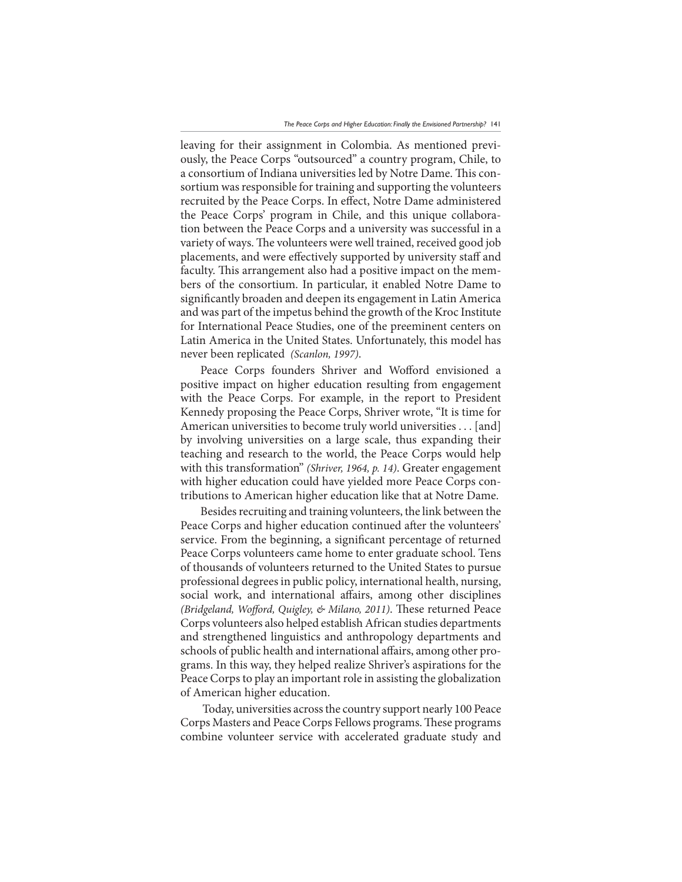leaving for their assignment in Colombia. As mentioned previously, the Peace Corps "outsourced" a country program, Chile, to a consortium of Indiana universities led by Notre Dame. This consortium was responsible for training and supporting the volunteers recruited by the Peace Corps. In effect, Notre Dame administered the Peace Corps' program in Chile, and this unique collaboration between the Peace Corps and a university was successful in a variety of ways. The volunteers were well trained, received good job placements, and were effectively supported by university staff and faculty. This arrangement also had a positive impact on the members of the consortium. In particular, it enabled Notre Dame to significantly broaden and deepen its engagement in Latin America and was part of the impetus behind the growth of the Kroc Institute for International Peace Studies, one of the preeminent centers on Latin America in the United States. Unfortunately, this model has never been replicated (Scanlon, 1997).

Peace Corps founders Shriver and Wofford envisioned a positive impact on higher education resulting from engagement with the Peace Corps. For example, in the report to President Kennedy proposing the Peace Corps, Shriver wrote, "It is time for American universities to become truly world universities . . . [and] by involving universities on a large scale, thus expanding their teaching and research to the world, the Peace Corps would help with this transformation" (Shriver, 1964, p. 14). Greater engagement with higher education could have yielded more Peace Corps contributions to American higher education like that at Notre Dame.

Besides recruiting and training volunteers, the link between the Peace Corps and higher education continued after the volunteers' service. From the beginning, a significant percentage of returned Peace Corps volunteers came home to enter graduate school. Tens of thousands of volunteers returned to the United States to pursue professional degrees in public policy, international health, nursing, social work, and international affairs, among other disciplines (Bridgeland, Wofford, Quigley, & Milano, 2011). These returned Peace Corps volunteers also helped establish African studies departments and strengthened linguistics and anthropology departments and schools of public health and international affairs, among other programs. In this way, they helped realize Shriver's aspirations for the Peace Corps to play an important role in assisting the globalization of American higher education.

 Today, universities across the country support nearly 100 Peace Corps Masters and Peace Corps Fellows programs. These programs combine volunteer service with accelerated graduate study and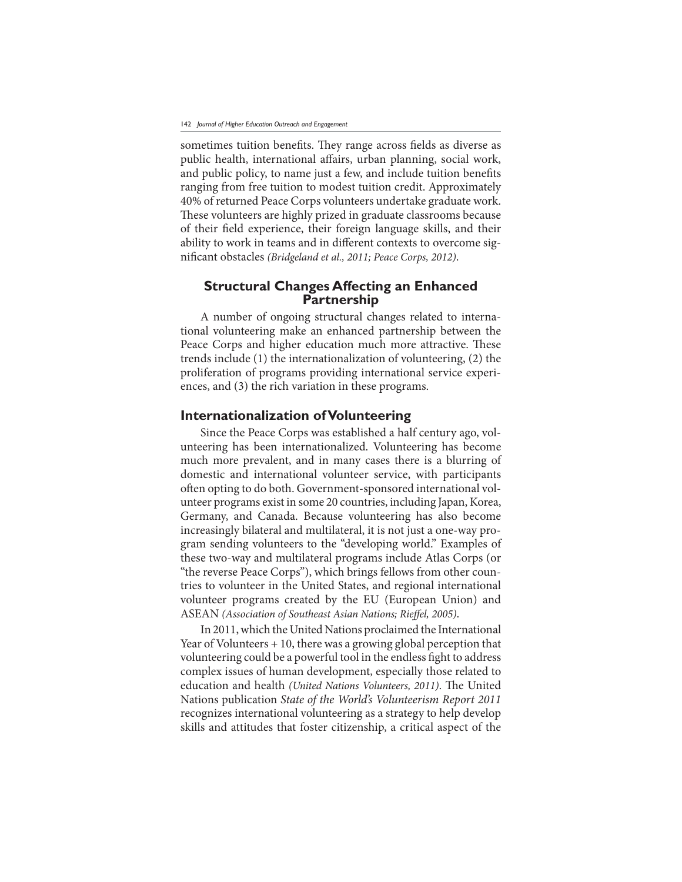sometimes tuition benefits. They range across fields as diverse as public health, international affairs, urban planning, social work, and public policy, to name just a few, and include tuition benefits ranging from free tuition to modest tuition credit. Approximately 40% of returned Peace Corps volunteers undertake graduate work. These volunteers are highly prized in graduate classrooms because of their field experience, their foreign language skills, and their ability to work in teams and in different contexts to overcome significant obstacles (Bridgeland et al., 2011; Peace Corps, 2012).

# **Structural Changes Affecting an Enhanced Partnership**

A number of ongoing structural changes related to international volunteering make an enhanced partnership between the Peace Corps and higher education much more attractive. These trends include (1) the internationalization of volunteering, (2) the proliferation of programs providing international service experiences, and (3) the rich variation in these programs.

# **Internationalization of Volunteering**

Since the Peace Corps was established a half century ago, volunteering has been internationalized. Volunteering has become much more prevalent, and in many cases there is a blurring of domestic and international volunteer service, with participants often opting to do both. Government-sponsored international volunteer programs exist in some 20 countries, including Japan, Korea, Germany, and Canada. Because volunteering has also become increasingly bilateral and multilateral, it is not just a one-way program sending volunteers to the "developing world." Examples of these two-way and multilateral programs include Atlas Corps (or "the reverse Peace Corps"), which brings fellows from other countries to volunteer in the United States, and regional international volunteer programs created by the EU (European Union) and ASEAN (Association of Southeast Asian Nations; Rieffel, 2005).

In 2011, which the United Nations proclaimed the International Year of Volunteers  $+10$ , there was a growing global perception that volunteering could be a powerful tool in the endless fight to address complex issues of human development, especially those related to education and health (United Nations Volunteers, 2011). The United Nations publication State of the World's Volunteerism Report 2011 recognizes international volunteering as a strategy to help develop skills and attitudes that foster citizenship, a critical aspect of the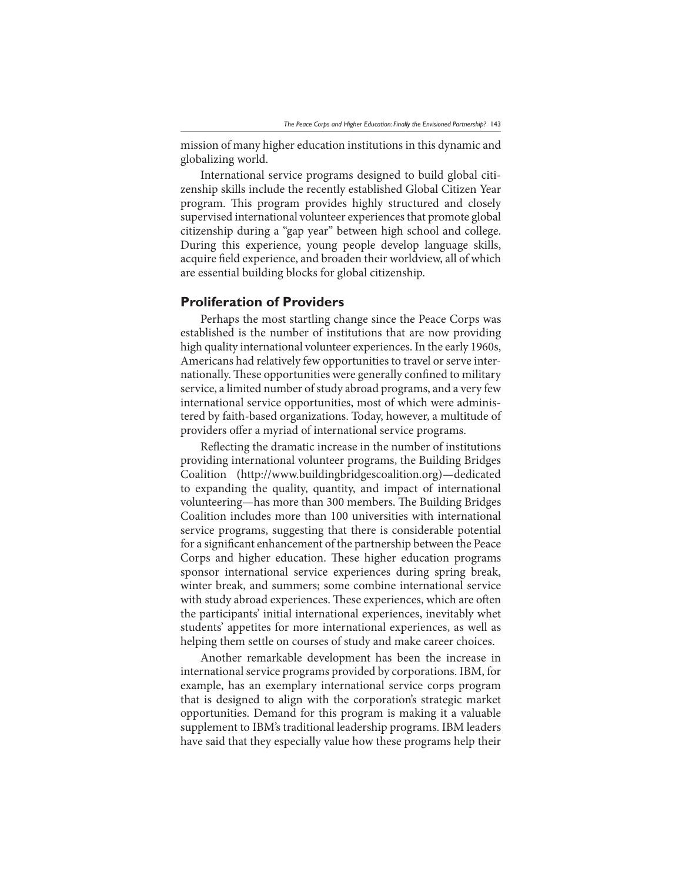mission of many higher education institutions in this dynamic and globalizing world.

International service programs designed to build global citizenship skills include the recently established Global Citizen Year program. This program provides highly structured and closely supervised international volunteer experiences that promote global citizenship during a "gap year" between high school and college. During this experience, young people develop language skills, acquire field experience, and broaden their worldview, all of which are essential building blocks for global citizenship.

## **Proliferation of Providers**

Perhaps the most startling change since the Peace Corps was established is the number of institutions that are now providing high quality international volunteer experiences. In the early 1960s, Americans had relatively few opportunities to travel or serve internationally. These opportunities were generally confined to military service, a limited number of study abroad programs, and a very few international service opportunities, most of which were administered by faith-based organizations. Today, however, a multitude of providers offer a myriad of international service programs.

Reflecting the dramatic increase in the number of institutions providing international volunteer programs, the Building Bridges Coalition (http://www.buildingbridgescoalition.org)—dedicated to expanding the quality, quantity, and impact of international volunteering—has more than 300 members. The Building Bridges Coalition includes more than 100 universities with international service programs, suggesting that there is considerable potential for a significant enhancement of the partnership between the Peace Corps and higher education. These higher education programs sponsor international service experiences during spring break, winter break, and summers; some combine international service with study abroad experiences. These experiences, which are often the participants' initial international experiences, inevitably whet students' appetites for more international experiences, as well as helping them settle on courses of study and make career choices.

Another remarkable development has been the increase in international service programs provided by corporations. IBM, for example, has an exemplary international service corps program that is designed to align with the corporation's strategic market opportunities. Demand for this program is making it a valuable supplement to IBM's traditional leadership programs. IBM leaders have said that they especially value how these programs help their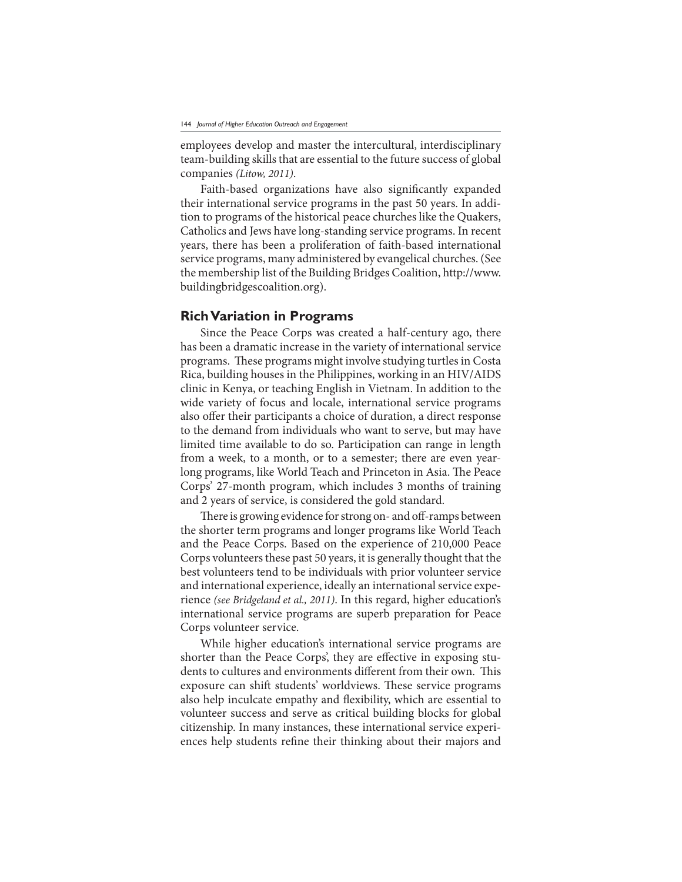employees develop and master the intercultural, interdisciplinary team-building skills that are essential to the future success of global companies (Litow, 2011).

Faith-based organizations have also significantly expanded their international service programs in the past 50 years. In addition to programs of the historical peace churches like the Quakers, Catholics and Jews have long-standing service programs. In recent years, there has been a proliferation of faith-based international service programs, many administered by evangelical churches. (See the membership list of the Building Bridges Coalition, http://www. buildingbridgescoalition.org).

#### **Rich Variation in Programs**

Since the Peace Corps was created a half-century ago, there has been a dramatic increase in the variety of international service programs. These programs might involve studying turtles in Costa Rica, building houses in the Philippines, working in an HIV/AIDS clinic in Kenya, or teaching English in Vietnam. In addition to the wide variety of focus and locale, international service programs also offer their participants a choice of duration, a direct response to the demand from individuals who want to serve, but may have limited time available to do so. Participation can range in length from a week, to a month, or to a semester; there are even yearlong programs, like World Teach and Princeton in Asia. The Peace Corps' 27-month program, which includes 3 months of training and 2 years of service, is considered the gold standard.

There is growing evidence for strong on- and off-ramps between the shorter term programs and longer programs like World Teach and the Peace Corps. Based on the experience of 210,000 Peace Corps volunteers these past 50 years, it is generally thought that the best volunteers tend to be individuals with prior volunteer service and international experience, ideally an international service experience (see Bridgeland et al., 2011). In this regard, higher education's international service programs are superb preparation for Peace Corps volunteer service.

While higher education's international service programs are shorter than the Peace Corps', they are effective in exposing students to cultures and environments different from their own. This exposure can shift students' worldviews. These service programs also help inculcate empathy and flexibility, which are essential to volunteer success and serve as critical building blocks for global citizenship. In many instances, these international service experiences help students refine their thinking about their majors and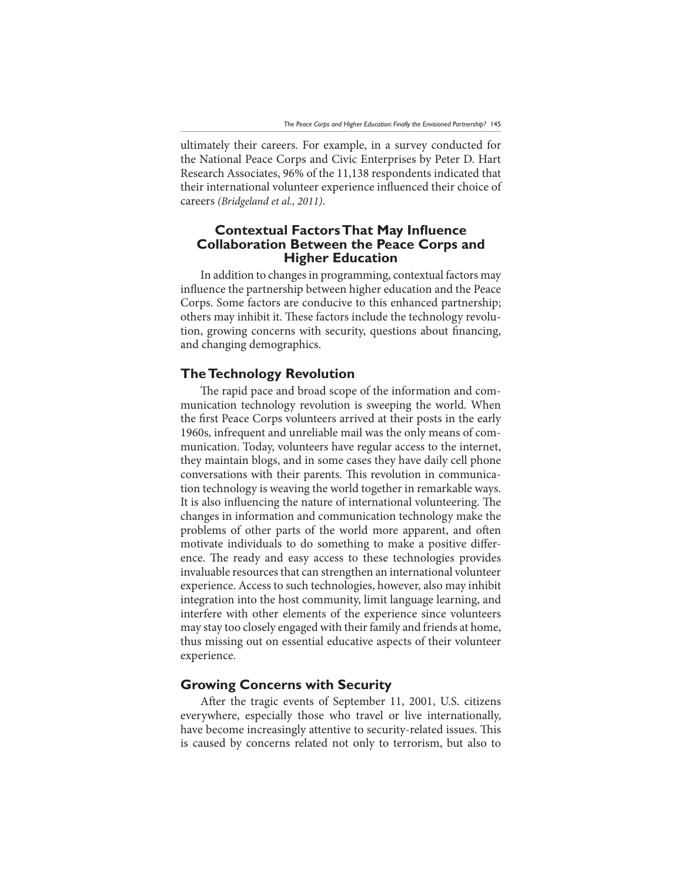ultimately their careers. For example, in a survey conducted for the National Peace Corps and Civic Enterprises by Peter D. Hart Research Associates, 96% of the 11,138 respondents indicated that their international volunteer experience influenced their choice of careers (Bridgeland et al., 2011).

# **Conte[tual )actors 7hat 0ay InÁuence Collaboration Between the Peace Corps and Higher Education**

In addition to changes in programming, contextual factors may influence the partnership between higher education and the Peace Corps. Some factors are conducive to this enhanced partnership; others may inhibit it. These factors include the technology revolution, growing concerns with security, questions about financing, and changing demographics.

# **The Technology Revolution**

The rapid pace and broad scope of the information and communication technology revolution is sweeping the world. When the first Peace Corps volunteers arrived at their posts in the early 1960s, infrequent and unreliable mail was the only means of communication. Today, volunteers have regular access to the internet, they maintain blogs, and in some cases they have daily cell phone conversations with their parents. This revolution in communication technology is weaving the world together in remarkable ways. It is also influencing the nature of international volunteering. The changes in information and communication technology make the problems of other parts of the world more apparent, and often motivate individuals to do something to make a positive difference. The ready and easy access to these technologies provides invaluable resources that can strengthen an international volunteer experience. Access to such technologies, however, also may inhibit integration into the host community, limit language learning, and interfere with other elements of the experience since volunteers may stay too closely engaged with their family and friends at home, thus missing out on essential educative aspects of their volunteer experience.

## **Growing Concerns with Security**

After the tragic events of September 11, 2001, U.S. citizens everywhere, especially those who travel or live internationally, have become increasingly attentive to security-related issues. This is caused by concerns related not only to terrorism, but also to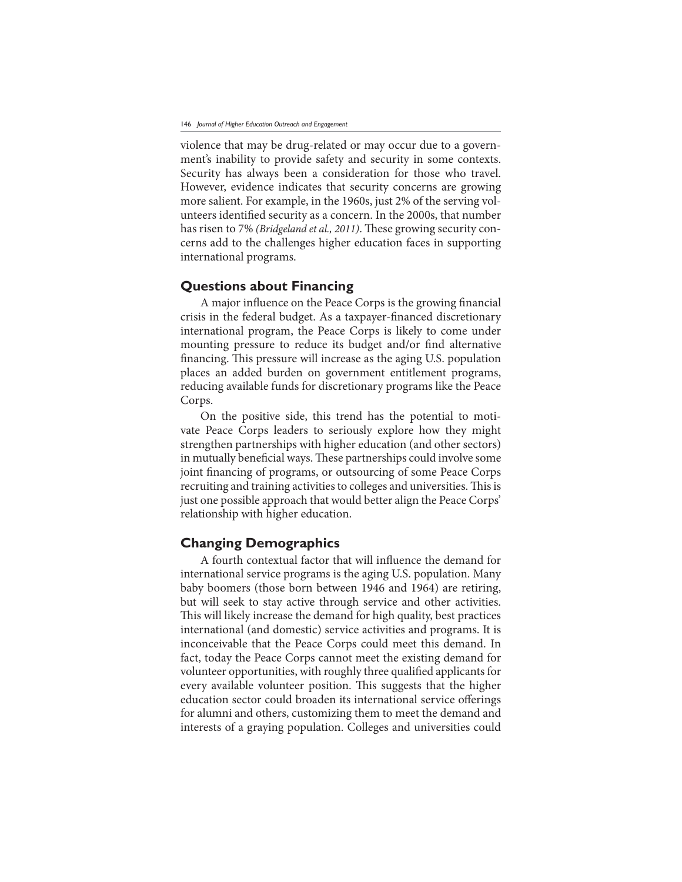violence that may be drug-related or may occur due to a government's inability to provide safety and security in some contexts. Security has always been a consideration for those who travel. However, evidence indicates that security concerns are growing more salient. For example, in the 1960s, just 2% of the serving volunteers identified security as a concern. In the 2000s, that number has risen to 7% (*Bridgeland et al., 2011*). These growing security concerns add to the challenges higher education faces in supporting international programs.

## **Questions about Financing**

A major influence on the Peace Corps is the growing financial crisis in the federal budget. As a taxpayer-financed discretionary international program, the Peace Corps is likely to come under mounting pressure to reduce its budget and/or find alternative financing. This pressure will increase as the aging U.S. population places an added burden on government entitlement programs, reducing available funds for discretionary programs like the Peace Corps.

On the positive side, this trend has the potential to motivate Peace Corps leaders to seriously explore how they might strengthen partnerships with higher education (and other sectors) in mutually beneficial ways. These partnerships could involve some joint financing of programs, or outsourcing of some Peace Corps recruiting and training activities to colleges and universities. This is just one possible approach that would better align the Peace Corps' relationship with higher education.

## **Changing Demographics**

A fourth contextual factor that will influence the demand for international service programs is the aging U.S. population. Many baby boomers (those born between 1946 and 1964) are retiring, but will seek to stay active through service and other activities. This will likely increase the demand for high quality, best practices international (and domestic) service activities and programs. It is inconceivable that the Peace Corps could meet this demand. In fact, today the Peace Corps cannot meet the existing demand for volunteer opportunities, with roughly three qualified applicants for every available volunteer position. This suggests that the higher education sector could broaden its international service offerings for alumni and others, customizing them to meet the demand and interests of a graying population. Colleges and universities could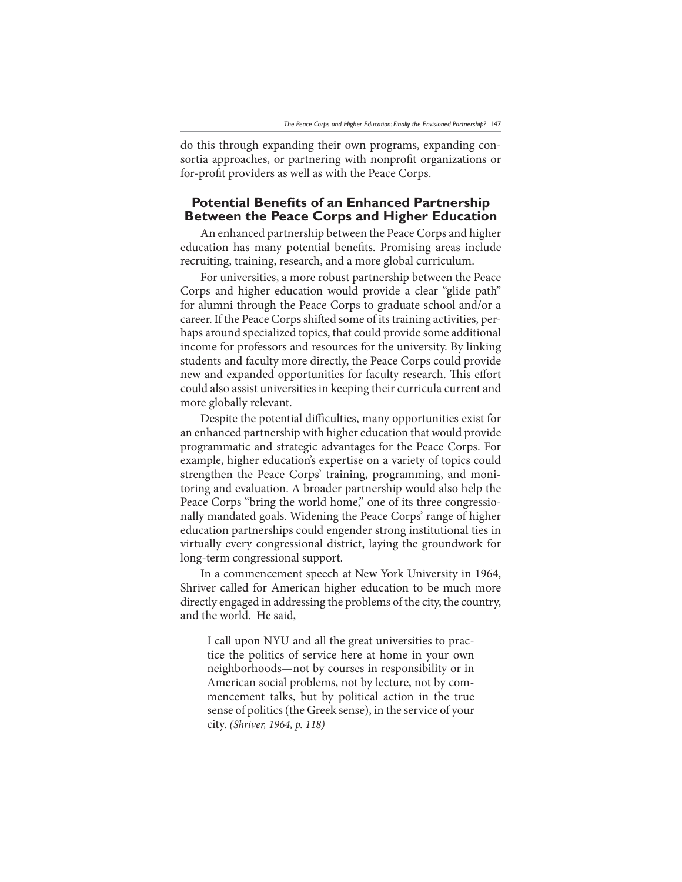do this through expanding their own programs, expanding consortia approaches, or partnering with nonprofit organizations or for-profit providers as well as with the Peace Corps.

# **Potential Benefits of an Enhanced Partnership Between the Peace Corps and Higher Education**

An enhanced partnership between the Peace Corps and higher education has many potential benefits. Promising areas include recruiting, training, research, and a more global curriculum.

For universities, a more robust partnership between the Peace Corps and higher education would provide a clear "glide path" for alumni through the Peace Corps to graduate school and/or a career. If the Peace Corps shifted some of its training activities, perhaps around specialized topics, that could provide some additional income for professors and resources for the university. By linking students and faculty more directly, the Peace Corps could provide new and expanded opportunities for faculty research. This effort could also assist universities in keeping their curricula current and more globally relevant.

Despite the potential difficulties, many opportunities exist for an enhanced partnership with higher education that would provide programmatic and strategic advantages for the Peace Corps. For example, higher education's expertise on a variety of topics could strengthen the Peace Corps' training, programming, and monitoring and evaluation. A broader partnership would also help the Peace Corps "bring the world home," one of its three congressionally mandated goals. Widening the Peace Corps' range of higher education partnerships could engender strong institutional ties in virtually every congressional district, laying the groundwork for long-term congressional support.

In a commencement speech at New York University in 1964, Shriver called for American higher education to be much more directly engaged in addressing the problems of the city, the country, and the world. He said,

I call upon NYU and all the great universities to practice the politics of service here at home in your own neighborhoods—not by courses in responsibility or in American social problems, not by lecture, not by commencement talks, but by political action in the true sense of politics (the Greek sense), in the service of your city. (Shriver, 1964, p. 118)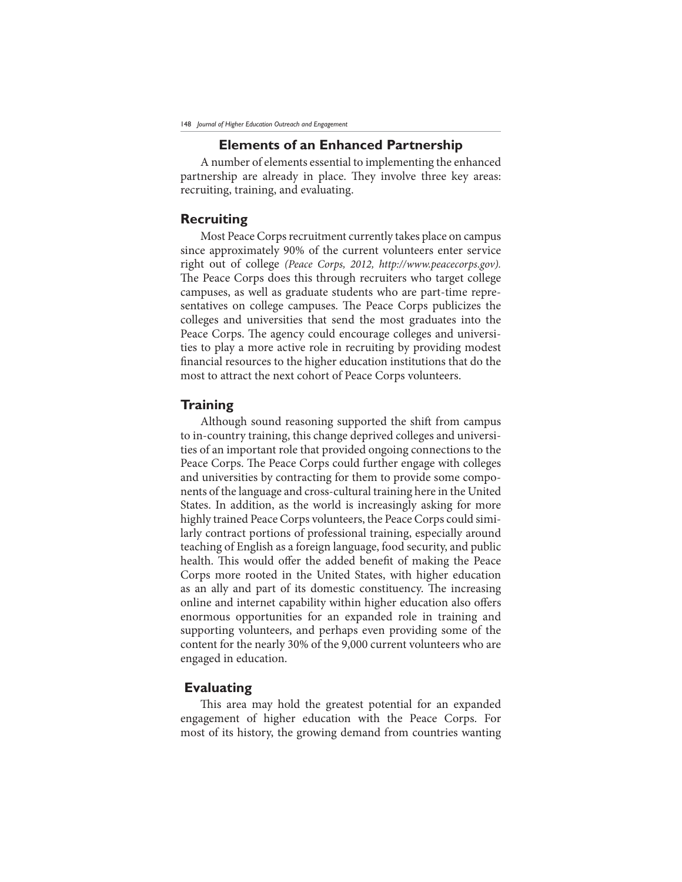### **Elements of an Enhanced Partnership**

A number of elements essential to implementing the enhanced partnership are already in place. They involve three key areas: recruiting, training, and evaluating.

## **Recruiting**

Most Peace Corps recruitment currently takes place on campus since approximately 90% of the current volunteers enter service right out of college (Peace Corps, 2012, http://www.peacecorps.gov). The Peace Corps does this through recruiters who target college campuses, as well as graduate students who are part-time representatives on college campuses. The Peace Corps publicizes the colleges and universities that send the most graduates into the Peace Corps. The agency could encourage colleges and universities to play a more active role in recruiting by providing modest financial resources to the higher education institutions that do the most to attract the next cohort of Peace Corps volunteers.

#### **Training**

Although sound reasoning supported the shift from campus to in-country training, this change deprived colleges and universities of an important role that provided ongoing connections to the Peace Corps. The Peace Corps could further engage with colleges and universities by contracting for them to provide some components of the language and cross-cultural training here in the United States. In addition, as the world is increasingly asking for more highly trained Peace Corps volunteers, the Peace Corps could similarly contract portions of professional training, especially around teaching of English as a foreign language, food security, and public health. This would offer the added benefit of making the Peace Corps more rooted in the United States, with higher education as an ally and part of its domestic constituency. The increasing online and internet capability within higher education also offers enormous opportunities for an expanded role in training and supporting volunteers, and perhaps even providing some of the content for the nearly 30% of the 9,000 current volunteers who are engaged in education.

## **Evaluating**

This area may hold the greatest potential for an expanded engagement of higher education with the Peace Corps. For most of its history, the growing demand from countries wanting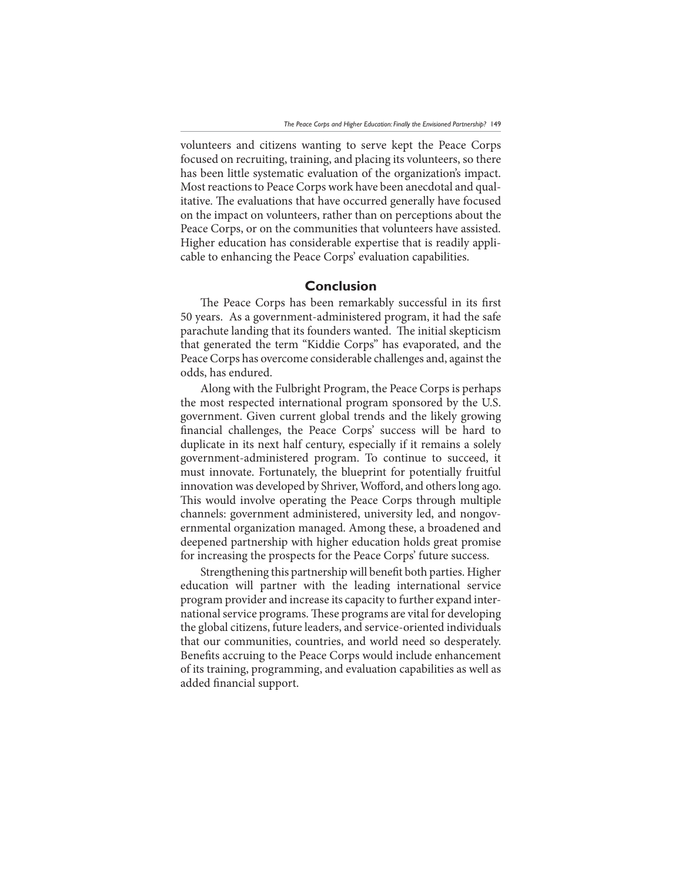volunteers and citizens wanting to serve kept the Peace Corps focused on recruiting, training, and placing its volunteers, so there has been little systematic evaluation of the organization's impact. Most reactions to Peace Corps work have been anecdotal and qualitative. The evaluations that have occurred generally have focused on the impact on volunteers, rather than on perceptions about the Peace Corps, or on the communities that volunteers have assisted. Higher education has considerable expertise that is readily applicable to enhancing the Peace Corps' evaluation capabilities.

#### **Conclusion**

The Peace Corps has been remarkably successful in its first 50 years. As a government-administered program, it had the safe parachute landing that its founders wanted. The initial skepticism that generated the term "Kiddie Corps" has evaporated, and the Peace Corps has overcome considerable challenges and, against the odds, has endured.

Along with the Fulbright Program, the Peace Corps is perhaps the most respected international program sponsored by the U.S. government. Given current global trends and the likely growing financial challenges, the Peace Corps' success will be hard to duplicate in its next half century, especially if it remains a solely government-administered program. To continue to succeed, it must innovate. Fortunately, the blueprint for potentially fruitful innovation was developed by Shriver, Wofford, and others long ago. This would involve operating the Peace Corps through multiple channels: government administered, university led, and nongovernmental organization managed. Among these, a broadened and deepened partnership with higher education holds great promise for increasing the prospects for the Peace Corps' future success.

Strengthening this partnership will benefit both parties. Higher education will partner with the leading international service program provider and increase its capacity to further expand international service programs. These programs are vital for developing the global citizens, future leaders, and service-oriented individuals that our communities, countries, and world need so desperately. Benefits accruing to the Peace Corps would include enhancement of its training, programming, and evaluation capabilities as well as added financial support.